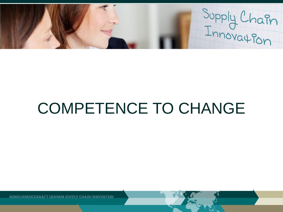Supply Chain

# COMPETENCE TO CHANGE

KONKURRENCEKRAFT GENNEM SUPPLY CHAIN INNOVATION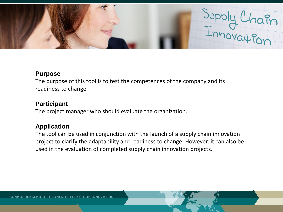

### **Purpose**

The purpose of this tool is to test the competences of the company and its readiness to change.

## **Participant**

The project manager who should evaluate the organization.

## **Application**

The tool can be used in conjunction with the launch of a supply chain innovation project to clarify the adaptability and readiness to change. However, it can also be used in the evaluation of completed supply chain innovation projects.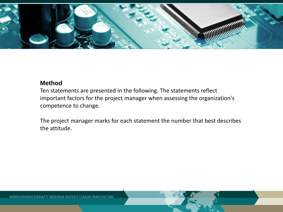

## **Method**

Ten statements are presented in the following. The statements reflect important factors for the project manager when assessing the organization's competence to change.

The project manager marks for each statement the number that best describes the attitude.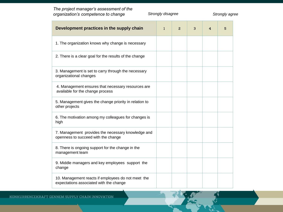*The project manager's assessment of the organization's competence to change Strongly disagree Strongly agree* 

| Development practices in the supply chain                                                     | $\mathbf{1}$ | 2 | з | 4 | 5 |
|-----------------------------------------------------------------------------------------------|--------------|---|---|---|---|
| 1. The organization knows why change is necessary                                             |              |   |   |   |   |
| 2. There is a clear goal for the results of the change                                        |              |   |   |   |   |
| 3. Management is set to carry through the necessary<br>organizational changes                 |              |   |   |   |   |
| 4. Management ensures that necessary resources are<br>available for the change process        |              |   |   |   |   |
| 5. Management gives the change priority in relation to<br>other projects                      |              |   |   |   |   |
| 6. The motivation among my colleagues for changes is<br>high                                  |              |   |   |   |   |
| 7. Management provides the necessary knowledge and<br>openness to succeed with the change     |              |   |   |   |   |
| 8. There is ongoing support for the change in the<br>management team                          |              |   |   |   |   |
| 9. Middle managers and key employees support the<br>change                                    |              |   |   |   |   |
| 10. Management reacts if employees do not meet the<br>expectations associated with the change |              |   |   |   |   |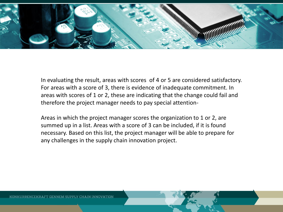

In evaluating the result, areas with scores of 4 or 5 are considered satisfactory. For areas with a score of 3, there is evidence of inadequate commitment. In areas with scores of 1 or 2, these are indicating that the change could fail and therefore the project manager needs to pay special attention-

Areas in which the project manager scores the organization to 1 or 2, are summed up in a list. Areas with a score of 3 can be included, if it is found necessary. Based on this list, the project manager will be able to prepare for any challenges in the supply chain innovation project.